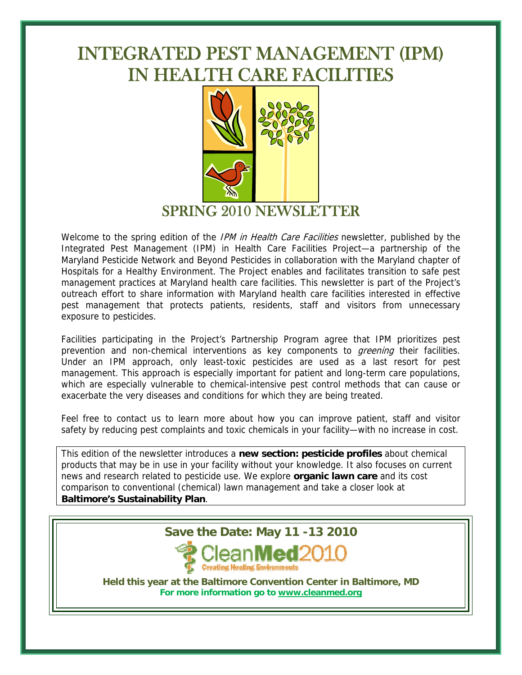# INTEGRATED PEST MANAGEMENT (IPM) IN HEALTH CARE FACILITIES



SPRING 2010 NEWSLETTER

Welcome to the spring edition of the IPM in Health Care Facilities newsletter, published by the Integrated Pest Management (IPM) in Health Care Facilities Project—a partnership of the Maryland Pesticide Network and Beyond Pesticides in collaboration with the Maryland chapter of Hospitals for a Healthy Environment. The Project enables and facilitates transition to safe pest management practices at Maryland health care facilities. This newsletter is part of the Project's outreach effort to share information with Maryland health care facilities interested in effective pest management that protects patients, residents, staff and visitors from unnecessary exposure to pesticides.

Facilities participating in the Project's Partnership Program agree that IPM prioritizes pest prevention and non-chemical interventions as key components to *greening* their facilities. Under an IPM approach, only least-toxic pesticides are used as a last resort for pest management. This approach is especially important for patient and long-term care populations, which are especially vulnerable to chemical-intensive pest control methods that can cause or exacerbate the very diseases and conditions for which they are being treated.

Feel free to contact us to learn more about how you can improve patient, staff and visitor safety by reducing pest complaints and toxic chemicals in your facility—with no increase in cost.

This edition of the newsletter introduces a **new section: pesticide profiles** about chemical products that may be in use in your facility without your knowledge. It also focuses on current news and research related to pesticide use. We explore **organic lawn care** and its cost comparison to conventional (chemical) lawn management and take a closer look at **Baltimore's Sustainability Plan**.



**Held this year at the Baltimore Convention Center in Baltimore, MD For more information go to [www.cleanmed.org](http://www.cleanmed.org/)**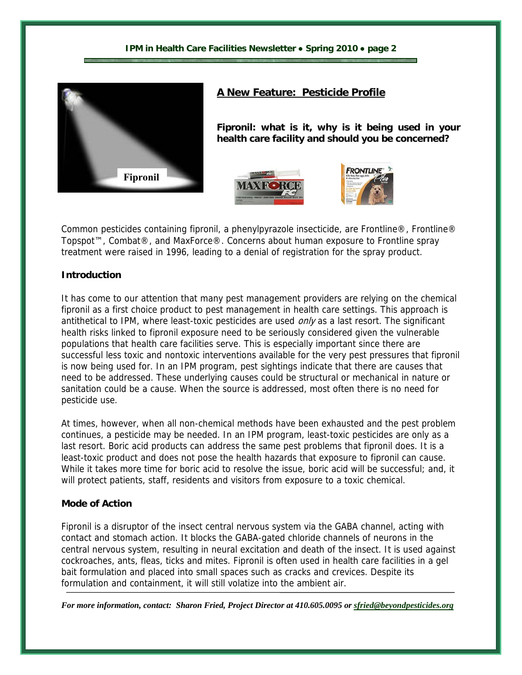

# **A New Feature: Pesticide Profile**

**Fipronil: what is it, why is it being used in your health care facility and should you be concerned?**





Common pesticides containing fipronil, a phenylpyrazole insecticide, are Frontline®, Frontline® Topspot™, Combat®, and MaxForce®. Concerns about human exposure to Frontline spray treatment were raised in 1996, leading to a denial of registration for the spray product.

#### **Introduction**

It has come to our attention that many pest management providers are relying on the chemical fipronil as a first choice product to pest management in health care settings. This approach is antithetical to IPM, where least-toxic pesticides are used only as a last resort. The significant health risks linked to fipronil exposure need to be seriously considered given the vulnerable populations that health care facilities serve. This is especially important since there are successful less toxic and nontoxic interventions available for the very pest pressures that fipronil is now being used for. In an IPM program, pest sightings indicate that there are causes that need to be addressed. These underlying causes could be structural or mechanical in nature or sanitation could be a cause. When the source is addressed, most often there is no need for pesticide use.

At times, however, when all non-chemical methods have been exhausted and the pest problem continues, a pesticide may be needed. In an IPM program, least-toxic pesticides are only as a last resort. Boric acid products can address the same pest problems that fipronil does. It is a least-toxic product and does not pose the health hazards that exposure to fipronil can cause. While it takes more time for boric acid to resolve the issue, boric acid will be successful; and, it will protect patients, staff, residents and visitors from exposure to a toxic chemical.

#### **Mode of Action**

Fipronil is a disruptor of the insect central nervous system via the GABA channel, acting with contact and stomach action. It blocks the GABA-gated chloride channels of neurons in the central nervous system, resulting in neural excitation and death of the insect. It is used against cockroaches, ants, fleas, ticks and mites. Fipronil is often used in health care facilities in a gel bait formulation and placed into small spaces such as cracks and crevices. Despite its formulation and containment, it will still volatize into the ambient air.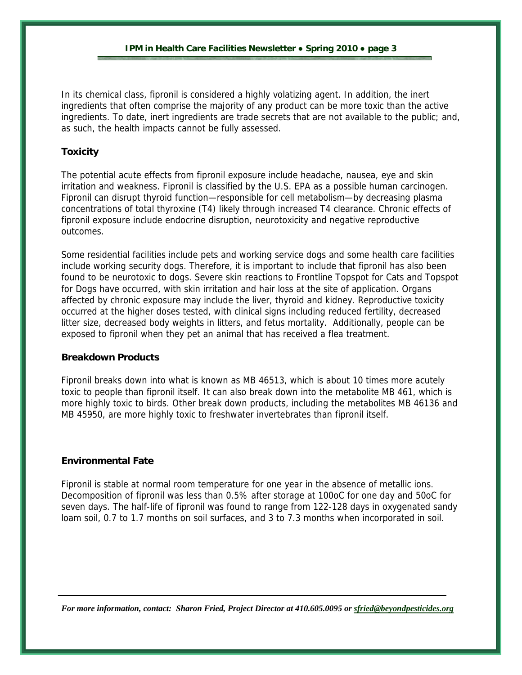In its chemical class, fipronil is considered a highly volatizing agent. In addition, the inert ingredients that often comprise the majority of any product can be more toxic than the active ingredients. To date, inert ingredients are trade secrets that are not available to the public; and, as such, the health impacts cannot be fully assessed.

# **Toxicity**

The potential acute effects from fipronil exposure include headache, nausea, eye and skin irritation and weakness. Fipronil is classified by the U.S. EPA as a possible human carcinogen. Fipronil can disrupt thyroid function—responsible for cell metabolism—by decreasing plasma concentrations of total thyroxine (T4) likely through increased T4 clearance. Chronic effects of fipronil exposure include endocrine disruption, neurotoxicity and negative reproductive outcomes.

Some residential facilities include pets and working service dogs and some health care facilities include working security dogs. Therefore, it is important to include that fipronil has also been found to be neurotoxic to dogs. Severe skin reactions to Frontline Topspot for Cats and Topspot for Dogs have occurred, with skin irritation and hair loss at the site of application. Organs affected by chronic exposure may include the liver, thyroid and kidney. Reproductive toxicity occurred at the higher doses tested, with clinical signs including reduced fertility, decreased litter size, decreased body weights in litters, and fetus mortality. Additionally, people can be exposed to fipronil when they pet an animal that has received a flea treatment.

#### **Breakdown Products**

Fipronil breaks down into what is known as MB 46513, which is about 10 times more acutely toxic to people than fipronil itself. It can also break down into the metabolite MB 461, which is more highly toxic to birds. Other break down products, including the metabolites MB 46136 and MB 45950, are more highly toxic to freshwater invertebrates than fipronil itself.

# **Environmental Fate**

Fipronil is stable at normal room temperature for one year in the absence of metallic ions. Decomposition of fipronil was less than 0.5% after storage at 100oC for one day and 50oC for seven days. The half-life of fipronil was found to range from 122-128 days in oxygenated sandy loam soil, 0.7 to 1.7 months on soil surfaces, and 3 to 7.3 months when incorporated in soil.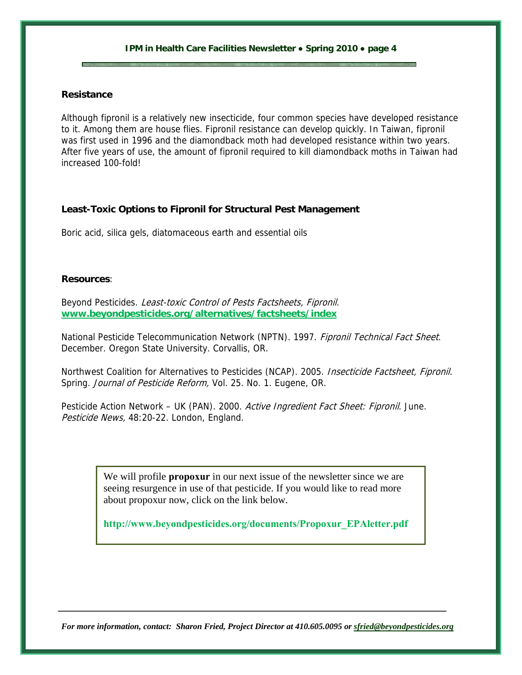### **Resistance**

Although fipronil is a relatively new insecticide, four common species have developed resistance to it. Among them are house flies. Fipronil resistance can develop quickly. In Taiwan, fipronil was first used in 1996 and the diamondback moth had developed resistance within two years. After five years of use, the amount of fipronil required to kill diamondback moths in Taiwan had increased 100-fold!

## **Least-Toxic Options to Fipronil for Structural Pest Management**

Boric acid, silica gels, diatomaceous earth and essential oils

#### **Resources**:

Beyond Pesticides. Least-toxic Control of Pests Factsheets, Fipronil. **[www.beyondpesticides.org/alternatives/factsheets/index](http://www.beyondpesticides.org/alternatives/factsheets/index)**

National Pesticide Telecommunication Network (NPTN). 1997. Fipronil Technical Fact Sheet. December. Oregon State University. Corvallis, OR.

Northwest Coalition for Alternatives to Pesticides (NCAP). 2005. Insecticide Factsheet, Fipronil. Spring. Journal of Pesticide Reform, Vol. 25. No. 1. Eugene, OR.

Pesticide Action Network – UK (PAN). 2000. Active Ingredient Fact Sheet: Fipronil. June. Pesticide News, 48:20-22. London, England.

> We will profile **propoxur** in our next issue of the newsletter since we are seeing resurgence in use of that pesticide. If you would like to read more about propoxur now, click on the link below.

**[http://www.beyondpesticides.org/documents/Propoxur\\_EPAletter.pdf](http://www.beyondpesticides.org/documents/Propoxur_EPAletter.pdf)**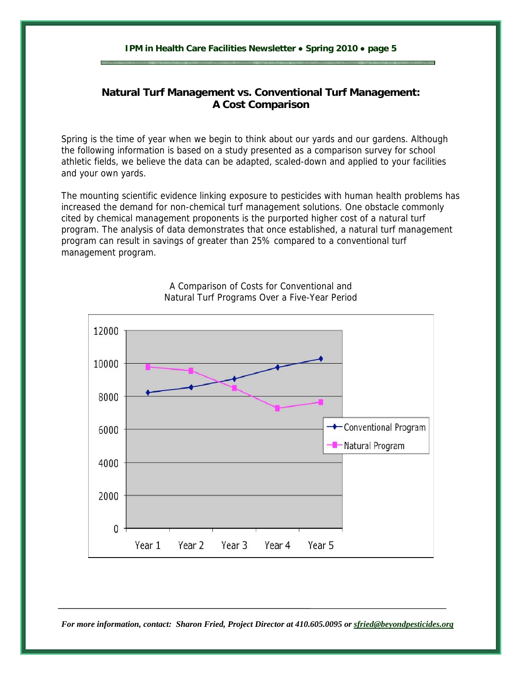# **Natural Turf Management vs. Conventional Turf Management: A Cost Comparison**

Spring is the time of year when we begin to think about our yards and our gardens. Although the following information is based on a study presented as a comparison survey for school athletic fields, we believe the data can be adapted, scaled-down and applied to your facilities and your own yards.

The mounting scientific evidence linking exposure to pesticides with human health problems has increased the demand for non-chemical turf management solutions. One obstacle commonly cited by chemical management proponents is the purported higher cost of a natural turf program. The analysis of data demonstrates that once established, a natural turf management program can result in savings of greater than 25% compared to a conventional turf management program.



A Comparison of Costs for Conventional and Natural Turf Programs Over a Five-Year Period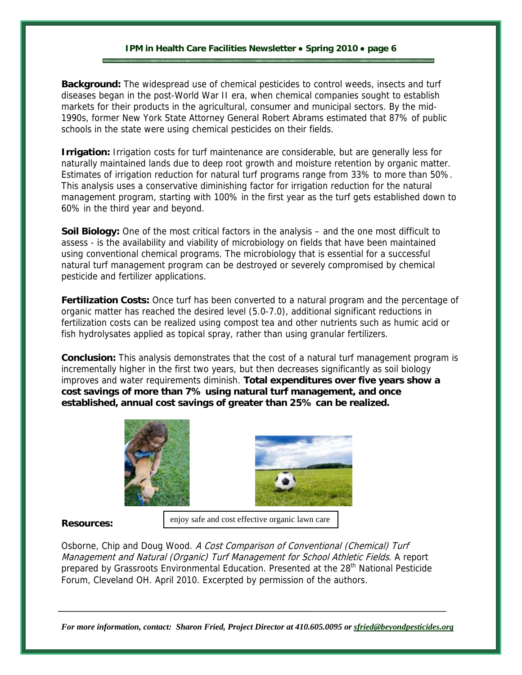**Background:** The widespread use of chemical pesticides to control weeds, insects and turf diseases began in the post-World War II era, when chemical companies sought to establish markets for their products in the agricultural, consumer and municipal sectors. By the mid-1990s, former New York State Attorney General Robert Abrams estimated that 87% of public schools in the state were using chemical pesticides on their fields.

**Irrigation:** Irrigation costs for turf maintenance are considerable, but are generally less for naturally maintained lands due to deep root growth and moisture retention by organic matter. Estimates of irrigation reduction for natural turf programs range from 33% to more than 50%. This analysis uses a conservative diminishing factor for irrigation reduction for the natural management program, starting with 100% in the first year as the turf gets established down to 60% in the third year and beyond.

**Soil Biology:** One of the most critical factors in the analysis – and the one most difficult to assess - is the availability and viability of microbiology on fields that have been maintained using conventional chemical programs. The microbiology that is essential for a successful natural turf management program can be destroyed or severely compromised by chemical pesticide and fertilizer applications.

**Fertilization Costs:** Once turf has been converted to a natural program and the percentage of organic matter has reached the desired level (5.0-7.0), additional significant reductions in fertilization costs can be realized using compost tea and other nutrients such as humic acid or fish hydrolysates applied as topical spray, rather than using granular fertilizers.

**Conclusion:** This analysis demonstrates that the cost of a natural turf management program is incrementally higher in the first two years, but then decreases significantly as soil biology improves and water requirements diminish. **Total expenditures over five years show a cost savings of more than 7% using natural turf management, and once established, annual cost savings of greater than 25% can be realized.**





#### **Resources:**

Osborne, Chip and Doug Wood. A Cost Comparison of Conventional (Chemical) Turf Management and Natural (Organic) Turf Management for School Athletic Fields. A report prepared by Grassroots Environmental Education. Presented at the 28<sup>th</sup> National Pesticide Forum, Cleveland OH. April 2010. Excerpted by permission of the authors.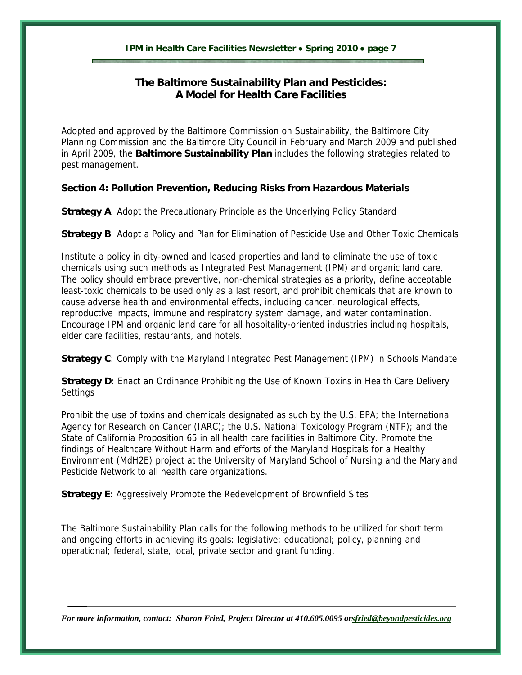# **The Baltimore Sustainability Plan and Pesticides: A Model for Health Care Facilities**

Adopted and approved by the Baltimore Commission on Sustainability, the Baltimore City Planning Commission and the Baltimore City Council in February and March 2009 and published in April 2009, the **Baltimore Sustainability Plan** includes the following strategies related to pest management.

# **Section 4: Pollution Prevention, Reducing Risks from Hazardous Materials**

**Strategy A**: Adopt the Precautionary Principle as the Underlying Policy Standard

**Strategy B**: Adopt a Policy and Plan for Elimination of Pesticide Use and Other Toxic Chemicals

Institute a policy in city-owned and leased properties and land to eliminate the use of toxic chemicals using such methods as Integrated Pest Management (IPM) and organic land care. The policy should embrace preventive, non-chemical strategies as a priority, define acceptable least-toxic chemicals to be used only as a last resort, and prohibit chemicals that are known to cause adverse health and environmental effects, including cancer, neurological effects, reproductive impacts, immune and respiratory system damage, and water contamination. Encourage IPM and organic land care for all hospitality-oriented industries including hospitals, elder care facilities, restaurants, and hotels.

**Strategy C**: Comply with the Maryland Integrated Pest Management (IPM) in Schools Mandate

**Strategy D**: Enact an Ordinance Prohibiting the Use of Known Toxins in Health Care Delivery **Settings** 

Prohibit the use of toxins and chemicals designated as such by the U.S. EPA; the International Agency for Research on Cancer (IARC); the U.S. National Toxicology Program (NTP); and the State of California Proposition 65 in all health care facilities in Baltimore City. Promote the findings of Healthcare Without Harm and efforts of the Maryland Hospitals for a Healthy Environment (MdH2E) project at the University of Maryland School of Nursing and the Maryland Pesticide Network to all health care organizations.

**Strategy E**: Aggressively Promote the Redevelopment of Brownfield Sites

The Baltimore Sustainability Plan calls for the following methods to be utilized for short term and ongoing efforts in achieving its goals: legislative; educational; policy, planning and operational; federal, state, local, private sector and grant funding.